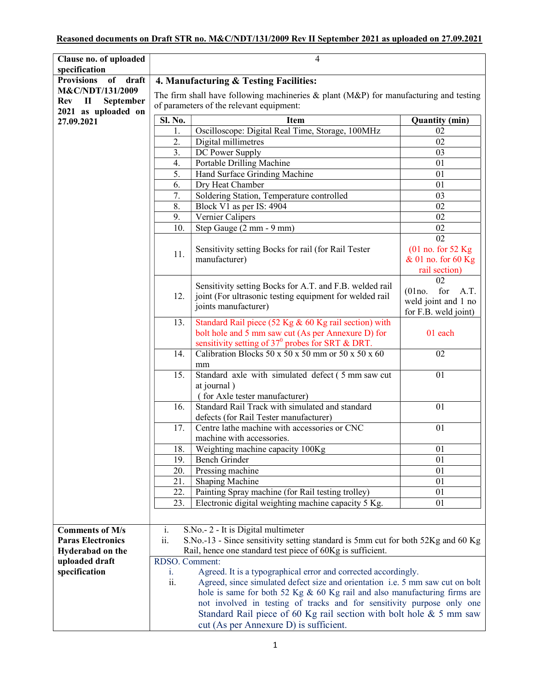## Reasoned documents on Draft STR no. M&C/NDT/131/2009 Rev II September 2021 as uploaded on 27.09.2021

| Clause no. of uploaded                                   |                                                                                          | 4                                                                                                         |                       |  |
|----------------------------------------------------------|------------------------------------------------------------------------------------------|-----------------------------------------------------------------------------------------------------------|-----------------------|--|
| specification<br><b>Provisions</b><br><b>of</b><br>draft | 4. Manufacturing & Testing Facilities:                                                   |                                                                                                           |                       |  |
| M&C/NDT/131/2009                                         |                                                                                          |                                                                                                           |                       |  |
| $\mathbf{I}$<br>September<br><b>Rev</b>                  | The firm shall have following machineries $\&$ plant (M&P) for manufacturing and testing |                                                                                                           |                       |  |
| 2021 as uploaded on                                      | of parameters of the relevant equipment:                                                 |                                                                                                           |                       |  |
| 27.09.2021                                               | <b>Sl. No.</b>                                                                           | <b>Item</b>                                                                                               | <b>Quantity (min)</b> |  |
|                                                          | 1.                                                                                       | Oscilloscope: Digital Real Time, Storage, 100MHz                                                          | 02                    |  |
|                                                          | 2.                                                                                       | Digital millimetres                                                                                       | 02                    |  |
|                                                          | 3.                                                                                       | DC Power Supply                                                                                           | 03                    |  |
|                                                          | 4.                                                                                       | Portable Drilling Machine                                                                                 | 01                    |  |
|                                                          | 5.                                                                                       | Hand Surface Grinding Machine                                                                             | 01                    |  |
|                                                          | 6.<br>7.                                                                                 | Dry Heat Chamber<br>Soldering Station, Temperature controlled                                             | 01<br>03              |  |
|                                                          | 8.                                                                                       | Block V1 as per IS: 4904                                                                                  | 02                    |  |
|                                                          | 9.                                                                                       | Vernier Calipers                                                                                          | 02                    |  |
|                                                          | 10.                                                                                      | Step Gauge (2 mm - 9 mm)                                                                                  | 02                    |  |
|                                                          |                                                                                          |                                                                                                           | $\overline{02}$       |  |
|                                                          |                                                                                          | Sensitivity setting Bocks for rail (for Rail Tester                                                       | $(01$ no. for 52 Kg   |  |
|                                                          | 11.                                                                                      | manufacturer)                                                                                             | & 01 no. for 60 Kg    |  |
|                                                          |                                                                                          |                                                                                                           | rail section)         |  |
|                                                          |                                                                                          | Sensitivity setting Bocks for A.T. and F.B. welded rail                                                   | 02                    |  |
|                                                          | 12.                                                                                      | joint (For ultrasonic testing equipment for welded rail                                                   | for<br>(01no.<br>A.T. |  |
|                                                          |                                                                                          | joints manufacturer)                                                                                      | weld joint and 1 no   |  |
|                                                          |                                                                                          |                                                                                                           | for F.B. weld joint)  |  |
|                                                          | 13.                                                                                      | Standard Rail piece (52 Kg & 60 Kg rail section) with                                                     | 01 each               |  |
|                                                          |                                                                                          | bolt hole and 5 mm saw cut (As per Annexure D) for<br>sensitivity setting of $37^0$ probes for SRT & DRT. |                       |  |
|                                                          | 14.                                                                                      | Calibration Blocks 50 x 50 x 50 mm or 50 x 50 x 60                                                        | 02                    |  |
|                                                          |                                                                                          | mm                                                                                                        |                       |  |
|                                                          | 15.                                                                                      | Standard axle with simulated defect (5 mm saw cut                                                         | 01                    |  |
|                                                          |                                                                                          | at journal)                                                                                               |                       |  |
|                                                          |                                                                                          | (for Axle tester manufacturer)                                                                            |                       |  |
|                                                          | 16.                                                                                      | Standard Rail Track with simulated and standard                                                           | 01                    |  |
|                                                          |                                                                                          | defects (for Rail Tester manufacturer)                                                                    |                       |  |
|                                                          | 17.                                                                                      | Centre lathe machine with accessories or CNC                                                              | 01                    |  |
|                                                          |                                                                                          | machine with accessories.                                                                                 |                       |  |
|                                                          | 18.                                                                                      | Weighting machine capacity 100Kg                                                                          | 01                    |  |
|                                                          | 19.                                                                                      | Bench Grinder                                                                                             | 01                    |  |
|                                                          | 20.<br>21.                                                                               | Pressing machine                                                                                          | 01<br>01              |  |
|                                                          | 22.                                                                                      | Shaping Machine<br>Painting Spray machine (for Rail testing trolley)                                      | 01                    |  |
|                                                          | 23.                                                                                      | Electronic digital weighting machine capacity 5 Kg.                                                       | 01                    |  |
|                                                          |                                                                                          |                                                                                                           |                       |  |
|                                                          |                                                                                          |                                                                                                           |                       |  |
| <b>Comments of M/s</b>                                   | i.                                                                                       | S.No.- 2 - It is Digital multimeter                                                                       |                       |  |
| <b>Paras Electronics</b>                                 | ii.                                                                                      | S.No.-13 - Since sensitivity setting standard is 5mm cut for both 52Kg and 60 Kg                          |                       |  |
| Hyderabad on the<br>uploaded draft                       |                                                                                          | Rail, hence one standard test piece of 60Kg is sufficient.                                                |                       |  |
| specification                                            | RDSO. Comment:<br>Agreed. It is a typographical error and corrected accordingly.<br>i.   |                                                                                                           |                       |  |
|                                                          | ii.                                                                                      | Agreed, since simulated defect size and orientation i.e. 5 mm saw cut on bolt                             |                       |  |
|                                                          |                                                                                          | hole is same for both 52 Kg & 60 Kg rail and also manufacturing firms are                                 |                       |  |
|                                                          |                                                                                          | not involved in testing of tracks and for sensitivity purpose only one                                    |                       |  |
|                                                          |                                                                                          | Standard Rail piece of 60 Kg rail section with bolt hole $&$ 5 mm saw                                     |                       |  |
|                                                          |                                                                                          | cut (As per Annexure D) is sufficient.                                                                    |                       |  |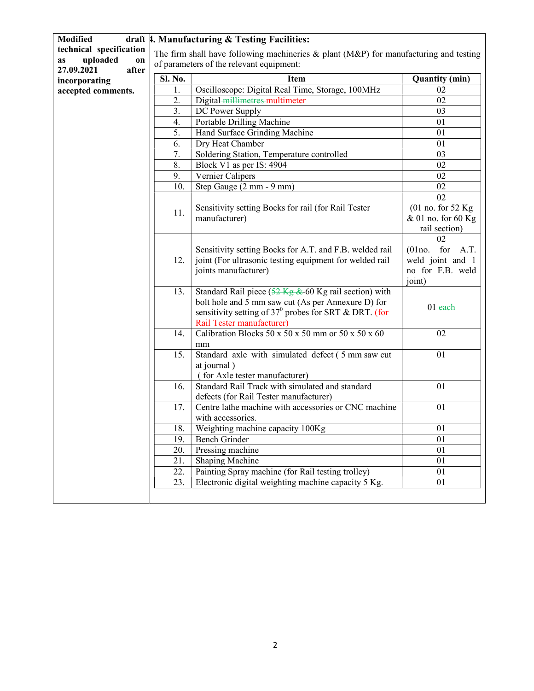| <b>Modified</b>                      |                                                                                          | draft 4. Manufacturing & Testing Facilities:                                      |                       |
|--------------------------------------|------------------------------------------------------------------------------------------|-----------------------------------------------------------------------------------|-----------------------|
| technical specification              | The firm shall have following machineries $\&$ plant (M&P) for manufacturing and testing |                                                                                   |                       |
| uploaded<br><b>as</b><br>on          | of parameters of the relevant equipment:                                                 |                                                                                   |                       |
| 27.09.2021<br>after<br>incorporating | Sl. No.                                                                                  | <b>Item</b>                                                                       | <b>Quantity (min)</b> |
| accepted comments.                   | 1.                                                                                       | Oscilloscope: Digital Real Time, Storage, 100MHz                                  | 02                    |
|                                      | 2.                                                                                       | Digital-millimetres-multimeter                                                    | 02                    |
|                                      | 3.                                                                                       | DC Power Supply                                                                   | 03                    |
|                                      | 4.                                                                                       | Portable Drilling Machine                                                         | 01                    |
|                                      | 5.                                                                                       | Hand Surface Grinding Machine                                                     | 01                    |
|                                      | 6.                                                                                       | Dry Heat Chamber                                                                  | 01                    |
|                                      | 7.                                                                                       | Soldering Station, Temperature controlled                                         | 03                    |
|                                      | 8.                                                                                       | Block V1 as per IS: 4904                                                          | 02                    |
|                                      | 9.                                                                                       | Vernier Calipers                                                                  | 02                    |
|                                      | 10.                                                                                      | Step Gauge (2 mm - 9 mm)                                                          | 02                    |
|                                      |                                                                                          |                                                                                   | 02                    |
|                                      |                                                                                          | Sensitivity setting Bocks for rail (for Rail Tester                               | $(01$ no. for 52 Kg   |
|                                      | 11.                                                                                      | manufacturer)                                                                     | & 01 no. for 60 Kg    |
|                                      |                                                                                          |                                                                                   | rail section)         |
|                                      |                                                                                          |                                                                                   | 02                    |
|                                      |                                                                                          | Sensitivity setting Bocks for A.T. and F.B. welded rail                           | $(01no.$ for A.T.     |
|                                      | 12.                                                                                      | joint (For ultrasonic testing equipment for welded rail                           | weld joint and 1      |
|                                      |                                                                                          | joints manufacturer)                                                              | no for F.B. weld      |
|                                      |                                                                                          |                                                                                   | joint)                |
|                                      | 13.                                                                                      | Standard Rail piece $(52 \text{ kg} \& 60 \text{ Kg}$ rail section) with          |                       |
|                                      |                                                                                          | bolt hole and 5 mm saw cut (As per Annexure D) for                                | $01$ each             |
|                                      |                                                                                          | sensitivity setting of $37^0$ probes for SRT & DRT. (for                          |                       |
|                                      |                                                                                          | Rail Tester manufacturer)                                                         |                       |
|                                      | 14.                                                                                      | Calibration Blocks 50 x 50 x 50 mm or 50 x 50 x 60                                | 02                    |
|                                      |                                                                                          | mm                                                                                |                       |
|                                      | 15.                                                                                      | Standard axle with simulated defect (5 mm saw cut                                 | 01                    |
|                                      |                                                                                          | at journal)                                                                       |                       |
|                                      |                                                                                          | (for Axle tester manufacturer)<br>Standard Rail Track with simulated and standard |                       |
|                                      | 16.                                                                                      | defects (for Rail Tester manufacturer)                                            | 01                    |
|                                      | 17.                                                                                      | Centre lathe machine with accessories or CNC machine                              | 01                    |
|                                      |                                                                                          | with accessories.                                                                 |                       |
|                                      | 18.                                                                                      | Weighting machine capacity 100Kg                                                  | 01                    |
|                                      | 19.                                                                                      | <b>Bench Grinder</b>                                                              | 01                    |
|                                      | 20.                                                                                      | Pressing machine                                                                  | 01                    |
|                                      | 21.                                                                                      | <b>Shaping Machine</b>                                                            | 01                    |
|                                      | 22.                                                                                      | Painting Spray machine (for Rail testing trolley)                                 | 01                    |
|                                      | 23.                                                                                      | Electronic digital weighting machine capacity 5 Kg.                               | 01                    |
|                                      |                                                                                          |                                                                                   |                       |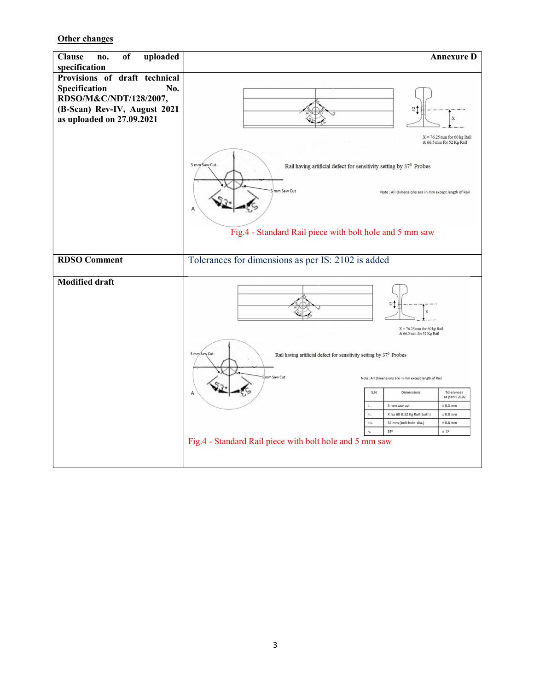**Other changes**